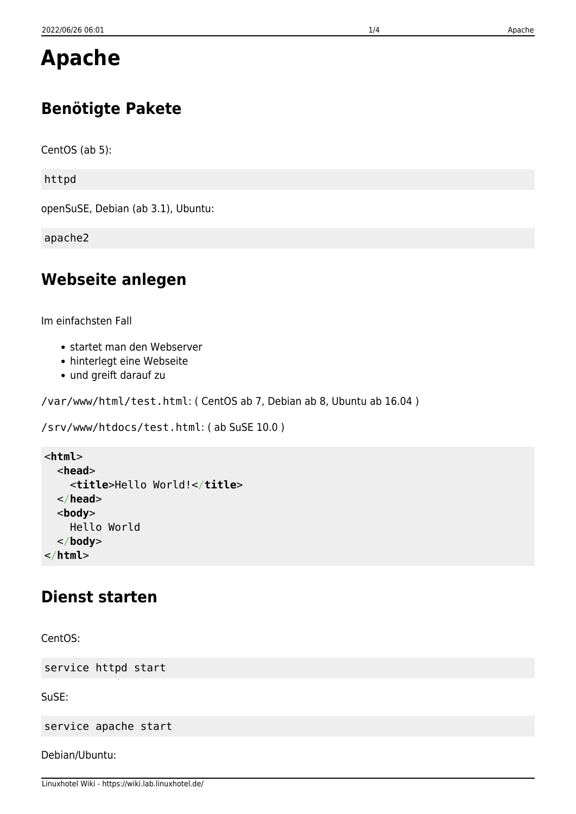# **Apache**

## **Benötigte Pakete**

CentOS (ab 5):

httpd

openSuSE, Debian (ab 3.1), Ubuntu:

apache2

## **Webseite anlegen**

Im einfachsten Fall

- startet man den Webserver
- hinterlegt eine Webseite
- und greift darauf zu

/var/www/html/test.html: ( CentOS ab 7, Debian ab 8, Ubuntu ab 16.04 )

```
/srv/www/htdocs/test.html: ( ab SuSE 10.0 )
```

```
<html>
   <head>
     <title>Hello World!</title>
   </head>
   <body>
     Hello World
   </body>
</html>
```
### **Dienst starten**

CentOS:

service httpd start

SuSE:

service apache start

Debian/Ubuntu: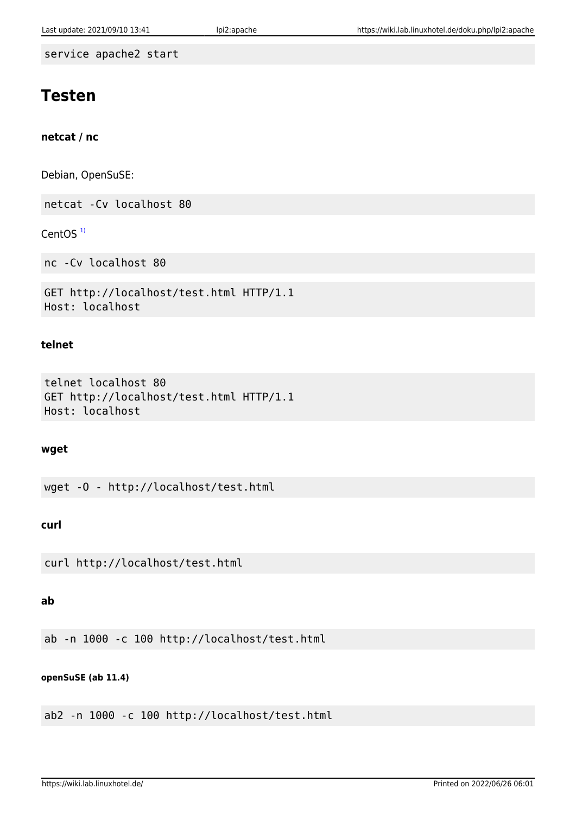service apache2 start

## **Testen**

#### **netcat / nc**

Debian, OpenSuSE:

netcat -Cv localhost 80

CentOS $<sup>1</sup>$ </sup>

nc -Cv localhost 80

```
GET http://localhost/test.html HTTP/1.1
Host: localhost
```
#### **telnet**

```
telnet localhost 80
GET http://localhost/test.html HTTP/1.1
Host: localhost
```
#### **wget**

wget -O - http://localhost/test.html

#### **curl**

curl http://localhost/test.html

#### **ab**

ab -n 1000 -c 100 http://localhost/test.html

#### **openSuSE (ab 11.4)**

ab2 -n 1000 -c 100 http://localhost/test.html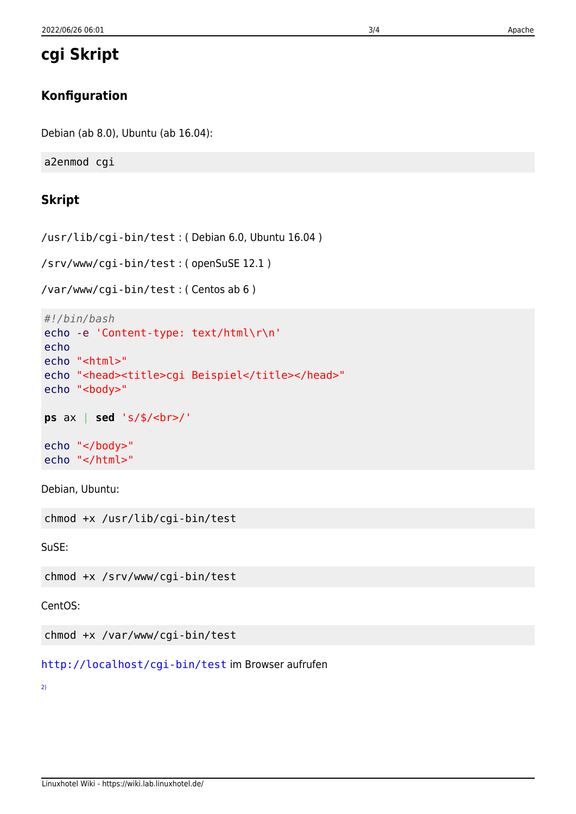**cgi Skript**

## **Konfiguration**

Debian (ab 8.0), Ubuntu (ab 16.04):

a2enmod cgi

## **Skript**

/usr/lib/cgi-bin/test : ( Debian 6.0, Ubuntu 16.04 )

/srv/www/cgi-bin/test : ( openSuSE 12.1 )

/var/www/cgi-bin/test : ( Centos ab 6 )

```
#!/bin/bash
echo -e 'Content-type: text/html\r\n'
echo
echo "<html>"
echo "<head><title>cgi Beispiel</title></head>"
echo "<br/>body>"
ps ax | sed 's/$/<br>/'
echo "</body>"
echo "</html>"
```
Debian, Ubuntu:

chmod +x /usr/lib/cgi-bin/test

SuSE:

chmod +x /srv/www/cgi-bin/test

CentOS:

chmod +x /var/www/cgi-bin/test

[http://localhost/cgi-bin/test](#page--1-0) im Browser aufrufen

[2\)](#page--1-0)